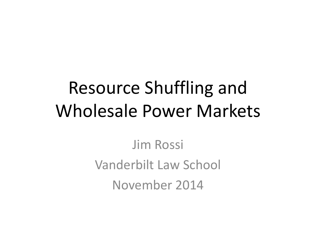## Resource Shuffling and Wholesale Power Markets

Jim Rossi Vanderbilt Law School November 2014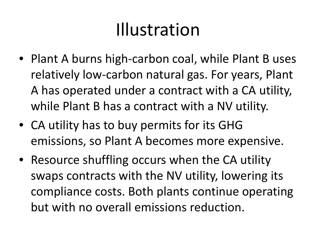### Illustration

- Plant A burns high-carbon coal, while Plant B uses relatively low-carbon natural gas. For years, Plant A has operated under a contract with a CA utility, while Plant B has a contract with a NV utility.
- CA utility has to buy permits for its GHG emissions, so Plant A becomes more expensive.
- Resource shuffling occurs when the CA utility swaps contracts with the NV utility, lowering its compliance costs. Both plants continue operating but with no overall emissions reduction.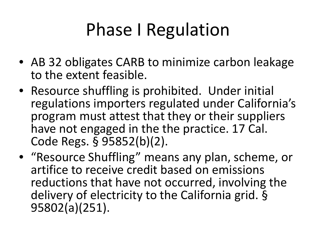# Phase I Regulation

- AB 32 obligates CARB to minimize carbon leakage to the extent feasible.
- Resource shuffling is prohibited. Under initial regulations importers regulated under California's program must attest that they or their suppliers have not engaged in the the practice. 17 Cal. Code Regs. § 95852(b)(2).
- "Resource Shuffling" means any plan, scheme, or artifice to receive credit based on emissions reductions that have not occurred, involving the delivery of electricity to the California grid. § 95802(a)(251).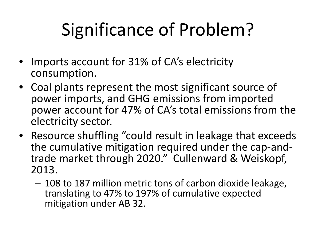# Significance of Problem?

- Imports account for 31% of CA's electricity consumption.
- Coal plants represent the most significant source of power imports, and GHG emissions from imported power account for 47% of CA's total emissions from the electricity sector.
- Resource shuffling "could result in leakage that exceeds<br>the cumulative mitigation required under the cap-andtrade market through 2020." Cullenward & Weiskopf, 2013.
	- 108 to 187 million metric tons of carbon dioxide leakage, translating to 47% to 197% of cumulative expected mitigation under AB 32.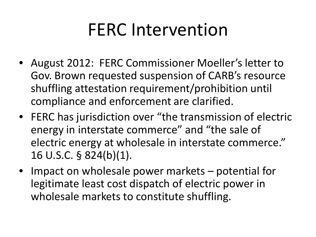### FERC Intervention

- August 2012: FERC Commissioner Moeller's letter to Gov. Brown requested suspension of CARB's resource shuffling attestation requirement/prohibition until compliance and enforcement are clarified.
- FERC has jurisdiction over "the transmission of electric energy in interstate commerce" and "the sale of electric energy at wholesale in interstate commerce." 16 U.S.C. § 824(b)(1).
- Impact on wholesale power markets potential for legitimate least cost dispatch of electric power in wholesale markets to constitute shuffling.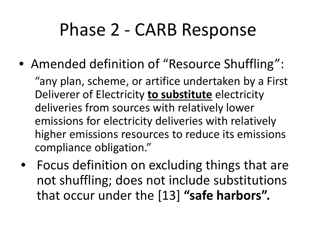#### Phase 2 - CARB Response

• Amended definition of "Resource Shuffling":

"any plan, scheme, or artifice undertaken by a First Deliverer of Electricity **to substitute** electricity deliveries from sources with relatively lower emissions for electricity deliveries with relatively higher emissions resources to reduce its emissions compliance obligation."

• Focus definition on excluding things that are not shuffling; does not include substitutions that occur under the [13] **"safe harbors".**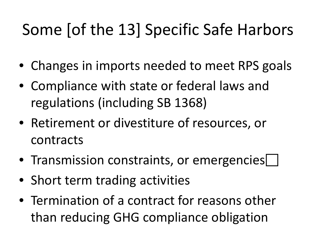#### Some [of the 13] Specific Safe Harbors

- Changes in imports needed to meet RPS goals
- Compliance with state or federal laws and regulations (including SB 1368)
- Retirement or divestiture of resources, or contracts
- Transmission constraints, or emergencies
- Short term trading activities
- Termination of a contract for reasons other than reducing GHG compliance obligation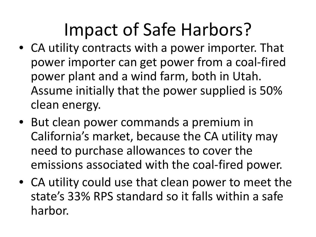# Impact of Safe Harbors?

- CA utility contracts with a power importer. That power importer can get power from a coal-fired power plant and a wind farm, both in Utah. Assume initially that the power supplied is 50% clean energy.
- But clean power commands a premium in California's market, because the CA utility may need to purchase allowances to cover the emissions associated with the coal-fired power.
- CA utility could use that clean power to meet the state's 33% RPS standard so it falls within a safe harbor.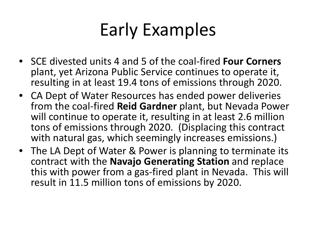### Early Examples

- SCE divested units 4 and 5 of the coal-fired **Four Corners**  plant, yet Arizona Public Service continues to operate it, resulting in at least 19.4 tons of emissions through 2020.
- CA Dept of Water Resources has ended power deliveries from the coal-fired **Reid Gardner** plant, but Nevada Power will continue to operate it, resulting in at least 2.6 million tons of emissions through 2020. (Displacing this contract with natural gas, which seemingly increases emissions.)
- The LA Dept of Water & Power is planning to terminate its contract with the **Navajo Generating Station** and replace this with power from a gas-fired plant in Nevada. This will result in 11.5 million tons of emissions by 2020.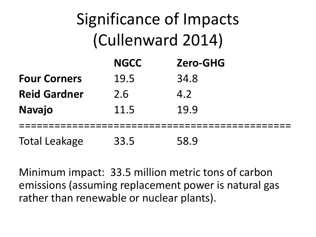| Significance of Impacts<br>(Cullenward 2014) |             |                 |  |
|----------------------------------------------|-------------|-----------------|--|
|                                              | <b>NGCC</b> | <b>Zero-GHG</b> |  |
| <b>Four Corners</b>                          | 19.5        | 34.8            |  |
| <b>Reid Gardner</b>                          | 2.6         | 4.2             |  |
| <b>Navajo</b>                                | 11.5        | 19.9            |  |
| <b>Total Leakage</b>                         | 33.5        | 58.9            |  |

Minimum impact: 33.5 million metric tons of carbon emissions (assuming replacement power is natural gas rather than renewable or nuclear plants).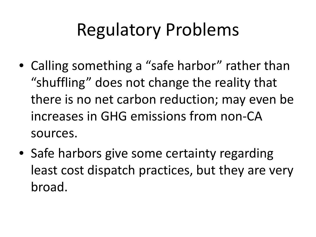### Regulatory Problems

- Calling something a "safe harbor" rather than "shuffling" does not change the reality that there is no net carbon reduction; may even be increases in GHG emissions from non-CA sources.
- Safe harbors give some certainty regarding least cost dispatch practices, but they are very broad.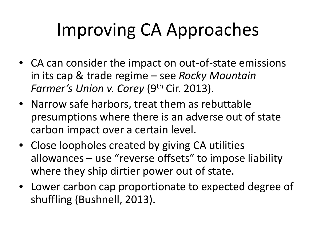# Improving CA Approaches

- CA can consider the impact on out-of-state emissions in its cap & trade regime – see *Rocky Mountain Farmer's Union v. Corey* (9<sup>th</sup> Cir. 2013).
- Narrow safe harbors, treat them as rebuttable presumptions where there is an adverse out of state carbon impact over a certain level.
- Close loopholes created by giving CA utilities allowances – use "reverse offsets" to impose liability where they ship dirtier power out of state.
- Lower carbon cap proportionate to expected degree of shuffling (Bushnell, 2013).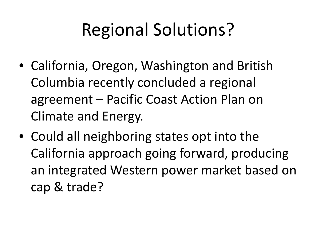### Regional Solutions?

- California, Oregon, Washington and British Columbia recently concluded a regional agreement – Pacific Coast Action Plan on Climate and Energy.
- Could all neighboring states opt into the California approach going forward, producing an integrated Western power market based on cap & trade?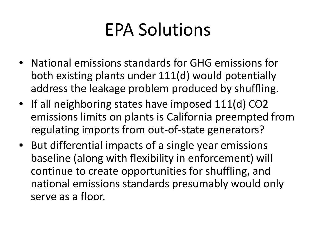### EPA Solutions

- National emissions standards for GHG emissions for both existing plants under 111(d) would potentially address the leakage problem produced by shuffling.
- If all neighboring states have imposed 111(d) CO2 emissions limits on plants is California preempted from regulating imports from out-of-state generators?
- But differential impacts of a single year emissions baseline (along with flexibility in enforcement) will continue to create opportunities for shuffling, and national emissions standards presumably would only serve as a floor.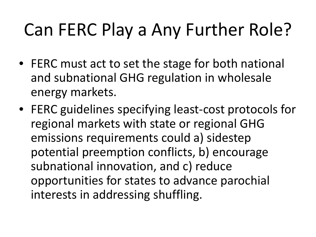# Can FERC Play a Any Further Role?

- FERC must act to set the stage for both national and subnational GHG regulation in wholesale energy markets.
- FERC guidelines specifying least-cost protocols for regional markets with state or regional GHG emissions requirements could a) sidestep potential preemption conflicts, b) encourage subnational innovation, and c) reduce opportunities for states to advance parochial interests in addressing shuffling.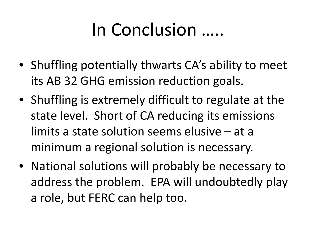### In Conclusion …..

- Shuffling potentially thwarts CA's ability to meet its AB 32 GHG emission reduction goals.
- Shuffling is extremely difficult to regulate at the state level. Short of CA reducing its emissions limits a state solution seems elusive – at a minimum a regional solution is necessary.
- National solutions will probably be necessary to address the problem. EPA will undoubtedly play a role, but FERC can help too.